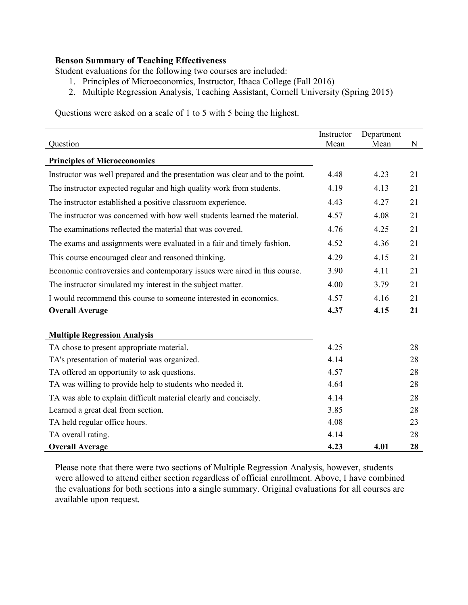## **Benson Summary of Teaching Effectiveness**

Student evaluations for the following two courses are included:

- 1. Principles of Microeconomics, Instructor, Ithaca College (Fall 2016)
- 2. Multiple Regression Analysis, Teaching Assistant, Cornell University (Spring 2015)

Questions were asked on a scale of 1 to 5 with 5 being the highest.

|                                                                               | Instructor | Department |    |
|-------------------------------------------------------------------------------|------------|------------|----|
| Question                                                                      | Mean       | Mean       | N  |
| <b>Principles of Microeconomics</b>                                           |            |            |    |
| Instructor was well prepared and the presentation was clear and to the point. | 4.48       | 4.23       | 21 |
| The instructor expected regular and high quality work from students.          | 4.19       | 4.13       | 21 |
| The instructor established a positive classroom experience.                   | 4.43       | 4.27       | 21 |
| The instructor was concerned with how well students learned the material.     | 4.57       | 4.08       | 21 |
| The examinations reflected the material that was covered.                     | 4.76       | 4.25       | 21 |
| The exams and assignments were evaluated in a fair and timely fashion.        | 4.52       | 4.36       | 21 |
| This course encouraged clear and reasoned thinking.                           | 4.29       | 4.15       | 21 |
| Economic controversies and contemporary issues were aired in this course.     | 3.90       | 4.11       | 21 |
| The instructor simulated my interest in the subject matter.                   | 4.00       | 3.79       | 21 |
| I would recommend this course to someone interested in economics.             | 4.57       | 4.16       | 21 |
| <b>Overall Average</b>                                                        | 4.37       | 4.15       | 21 |
|                                                                               |            |            |    |
| <b>Multiple Regression Analysis</b>                                           |            |            |    |
| TA chose to present appropriate material.                                     | 4.25       |            | 28 |
| TA's presentation of material was organized.                                  | 4.14       |            | 28 |
| TA offered an opportunity to ask questions.                                   | 4.57       |            | 28 |
| TA was willing to provide help to students who needed it.                     | 4.64       |            | 28 |
| TA was able to explain difficult material clearly and concisely.              | 4.14       |            | 28 |
| Learned a great deal from section.                                            | 3.85       |            | 28 |
| TA held regular office hours.                                                 | 4.08       |            | 23 |
| TA overall rating.                                                            | 4.14       |            | 28 |
| <b>Overall Average</b>                                                        | 4.23       | 4.01       | 28 |

Please note that there were two sections of Multiple Regression Analysis, however, students were allowed to attend either section regardless of official enrollment. Above, I have combined the evaluations for both sections into a single summary. Original evaluations for all courses are available upon request.